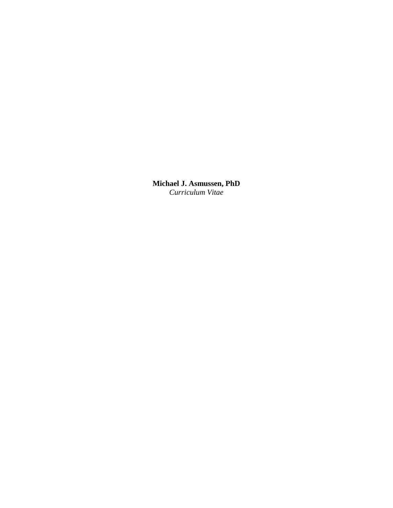**Michael J. Asmussen, PhD** *Curriculum Vitae*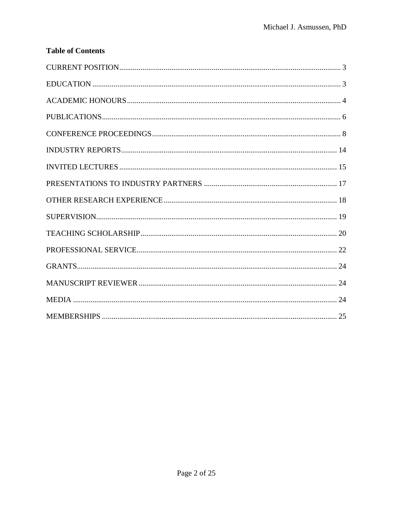# **Table of Contents**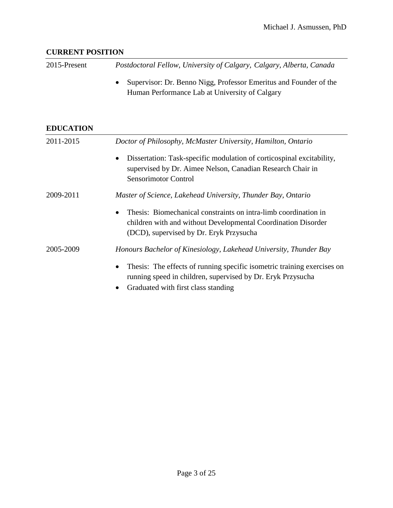### <span id="page-2-0"></span>**CURRENT POSITION**

2015-Present *Postdoctoral Fellow, University of Calgary, Calgary, Alberta, Canada*

 Supervisor: Dr. Benno Nigg, Professor Emeritus and Founder of the Human Performance Lab at University of Calgary

## <span id="page-2-1"></span>**EDUCATION**

| 2011-2015 | Doctor of Philosophy, McMaster University, Hamilton, Ontario                                                                                                                               |
|-----------|--------------------------------------------------------------------------------------------------------------------------------------------------------------------------------------------|
|           | Dissertation: Task-specific modulation of corticospinal excitability,<br>$\bullet$<br>supervised by Dr. Aimee Nelson, Canadian Research Chair in<br><b>Sensorimotor Control</b>            |
| 2009-2011 | Master of Science, Lakehead University, Thunder Bay, Ontario                                                                                                                               |
|           | Thesis: Biomechanical constraints on intra-limb coordination in<br>$\bullet$<br>children with and without Developmental Coordination Disorder<br>(DCD), supervised by Dr. Eryk Przysucha   |
| 2005-2009 | Honours Bachelor of Kinesiology, Lakehead University, Thunder Bay                                                                                                                          |
|           | Thesis: The effects of running specific isometric training exercises on<br>$\bullet$<br>running speed in children, supervised by Dr. Eryk Przysucha<br>Graduated with first class standing |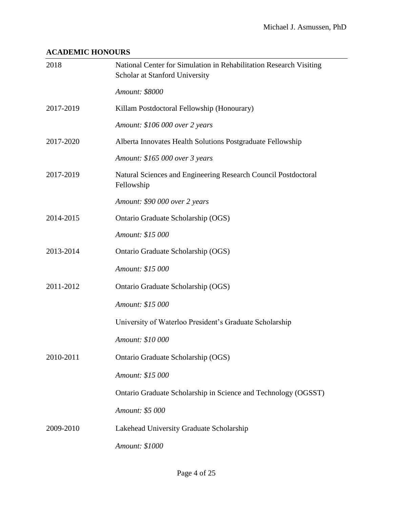## <span id="page-3-0"></span>**ACADEMIC HONOURS**

| 2018      | National Center for Simulation in Rehabilitation Research Visiting<br>Scholar at Stanford University |
|-----------|------------------------------------------------------------------------------------------------------|
|           | Amount: \$8000                                                                                       |
| 2017-2019 | Killam Postdoctoral Fellowship (Honourary)                                                           |
|           | Amount: \$106 000 over 2 years                                                                       |
| 2017-2020 | Alberta Innovates Health Solutions Postgraduate Fellowship                                           |
|           | Amount: \$165 000 over 3 years                                                                       |
| 2017-2019 | Natural Sciences and Engineering Research Council Postdoctoral<br>Fellowship                         |
|           | Amount: \$90 000 over 2 years                                                                        |
| 2014-2015 | Ontario Graduate Scholarship (OGS)                                                                   |
|           | Amount: \$15 000                                                                                     |
| 2013-2014 | Ontario Graduate Scholarship (OGS)                                                                   |
|           | Amount: \$15 000                                                                                     |
| 2011-2012 | Ontario Graduate Scholarship (OGS)                                                                   |
|           | Amount: \$15 000                                                                                     |
|           | University of Waterloo President's Graduate Scholarship                                              |
|           | Amount: \$10 000                                                                                     |
| 2010-2011 | Ontario Graduate Scholarship (OGS)                                                                   |
|           | Amount: \$15 000                                                                                     |
|           | Ontario Graduate Scholarship in Science and Technology (OGSST)                                       |
|           | Amount: \$5 000                                                                                      |
| 2009-2010 | Lakehead University Graduate Scholarship                                                             |
|           | Amount: \$1000                                                                                       |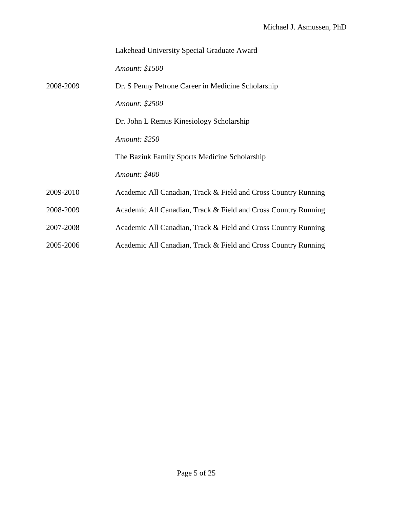|           | Lakehead University Special Graduate Award                     |
|-----------|----------------------------------------------------------------|
|           | Amount: \$1500                                                 |
| 2008-2009 | Dr. S Penny Petrone Career in Medicine Scholarship             |
|           | Amount: \$2500                                                 |
|           | Dr. John L Remus Kinesiology Scholarship                       |
|           | Amount: \$250                                                  |
|           | The Baziuk Family Sports Medicine Scholarship                  |
|           | Amount: \$400                                                  |
| 2009-2010 | Academic All Canadian, Track & Field and Cross Country Running |
| 2008-2009 | Academic All Canadian, Track & Field and Cross Country Running |
| 2007-2008 | Academic All Canadian, Track & Field and Cross Country Running |
| 2005-2006 | Academic All Canadian, Track & Field and Cross Country Running |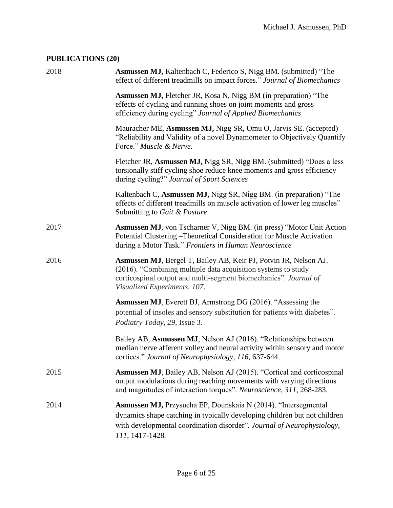## <span id="page-5-0"></span>**PUBLICATIONS (20)**

| 2018 | Asmussen MJ, Kaltenbach C, Federico S, Nigg BM. (submitted) "The<br>effect of different treadmills on impact forces." Journal of Biomechanics                                                                                                   |
|------|-------------------------------------------------------------------------------------------------------------------------------------------------------------------------------------------------------------------------------------------------|
|      | <b>Asmussen MJ, Fletcher JR, Kosa N, Nigg BM (in preparation)</b> "The<br>effects of cycling and running shoes on joint moments and gross<br>efficiency during cycling" Journal of Applied Biomechanics                                         |
|      | Mauracher ME, Asmussen MJ, Nigg SR, Omu O, Jarvis SE. (accepted)<br>"Reliability and Validity of a novel Dynamometer to Objectively Quantify<br>Force." Muscle & Nerve.                                                                         |
|      | Fletcher JR, Asmussen MJ, Nigg SR, Nigg BM. (submitted) "Does a less<br>torsionally stiff cycling shoe reduce knee moments and gross efficiency<br>during cycling?" Journal of Sport Sciences                                                   |
|      | Kaltenbach C, Asmussen MJ, Nigg SR, Nigg BM. (in preparation) "The<br>effects of different treadmills on muscle activation of lower leg muscles"<br>Submitting to Gait & Posture                                                                |
| 2017 | Asmussen MJ, von Tscharner V, Nigg BM. (in press) "Motor Unit Action<br>Potential Clustering - Theoretical Consideration for Muscle Activation<br>during a Motor Task." Frontiers in Human Neuroscience                                         |
| 2016 | Asmussen MJ, Bergel T, Bailey AB, Keir PJ, Potvin JR, Nelson AJ.<br>(2016). "Combining multiple data acquisition systems to study<br>corticospinal output and multi-segment biomechanics". Journal of<br>Visualized Experiments, 107.           |
|      | <b>Asmussen MJ</b> , Everett BJ, Armstrong DG (2016). "Assessing the<br>potential of insoles and sensory substitution for patients with diabetes".<br>Podiatry Today, 29, Issue 3.                                                              |
|      | Bailey AB, Asmussen MJ, Nelson AJ (2016). "Relationships between<br>median nerve afferent volley and neural activity within sensory and motor<br>cortices." Journal of Neurophysiology, 116, 637-644.                                           |
| 2015 | <b>Asmussen MJ</b> , Bailey AB, Nelson AJ (2015). "Cortical and corticospinal<br>output modulations during reaching movements with varying directions<br>and magnitudes of interaction torques". Neuroscience, 311, 268-283.                    |
| 2014 | <b>Asmussen MJ, Przysucha EP, Dounskaia N (2014). "Intersegmental</b><br>dynamics shape catching in typically developing children but not children<br>with developmental coordination disorder". Journal of Neurophysiology,<br>111, 1417-1428. |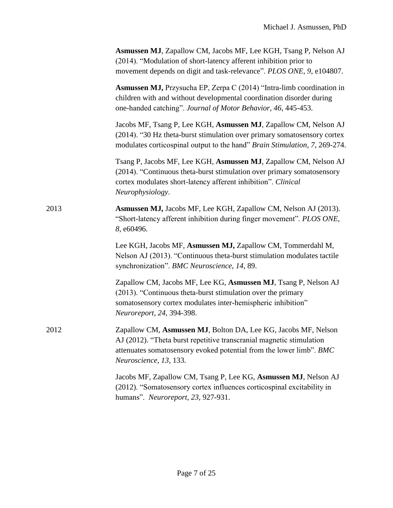|      | Asmussen MJ, Zapallow CM, Jacobs MF, Lee KGH, Tsang P, Nelson AJ<br>(2014). "Modulation of short-latency afferent inhibition prior to<br>movement depends on digit and task-relevance". PLOS ONE, 9, e104807.                           |
|------|-----------------------------------------------------------------------------------------------------------------------------------------------------------------------------------------------------------------------------------------|
|      | Asmussen MJ, Przysucha EP, Zerpa C (2014) "Intra-limb coordination in<br>children with and without developmental coordination disorder during<br>one-handed catching". Journal of Motor Behavior, 46, 445-453.                          |
|      | Jacobs MF, Tsang P, Lee KGH, Asmussen MJ, Zapallow CM, Nelson AJ<br>(2014). "30 Hz theta-burst stimulation over primary somatosensory cortex<br>modulates corticospinal output to the hand" Brain Stimulation, 7, 269-274.              |
|      | Tsang P, Jacobs MF, Lee KGH, Asmussen MJ, Zapallow CM, Nelson AJ<br>(2014). "Continuous theta-burst stimulation over primary somatosensory<br>cortex modulates short-latency afferent inhibition". Clinical<br>Neurophysiology.         |
| 2013 | Asmussen MJ, Jacobs MF, Lee KGH, Zapallow CM, Nelson AJ (2013).<br>"Short-latency afferent inhibition during finger movement". PLOS ONE,<br>8, e60496.                                                                                  |
|      | Lee KGH, Jacobs MF, Asmussen MJ, Zapallow CM, Tommerdahl M,<br>Nelson AJ (2013). "Continuous theta-burst stimulation modulates tactile<br>synchronization". BMC Neuroscience, 14, 89.                                                   |
|      | Zapallow CM, Jacobs MF, Lee KG, Asmussen MJ, Tsang P, Nelson AJ<br>(2013). "Continuous theta-burst stimulation over the primary<br>somatosensory cortex modulates inter-hemispheric inhibition"<br>Neuroreport, 24, 394-398.            |
| 2012 | Zapallow CM, Asmussen MJ, Bolton DA, Lee KG, Jacobs MF, Nelson<br>AJ (2012). "Theta burst repetitive transcranial magnetic stimulation<br>attenuates somatosensory evoked potential from the lower limb". BMC<br>Neuroscience, 13, 133. |
|      | Jacobs MF, Zapallow CM, Tsang P, Lee KG, Asmussen MJ, Nelson AJ<br>(2012). "Somatosensory cortex influences corticospinal excitability in<br>humans". Neuroreport, 23, 927-931.                                                         |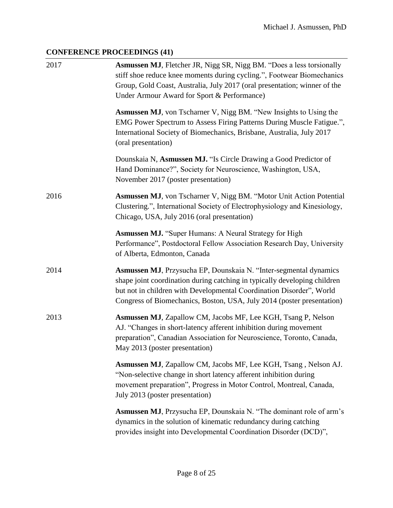## <span id="page-7-0"></span>**CONFERENCE PROCEEDINGS (41)**

| 2017 | <b>Asmussen MJ</b> , Fletcher JR, Nigg SR, Nigg BM. "Does a less torsionally<br>stiff shoe reduce knee moments during cycling.", Footwear Biomechanics<br>Group, Gold Coast, Australia, July 2017 (oral presentation; winner of the<br>Under Armour Award for Sport & Performance)               |
|------|--------------------------------------------------------------------------------------------------------------------------------------------------------------------------------------------------------------------------------------------------------------------------------------------------|
|      | <b>Asmussen MJ</b> , von Tscharner V, Nigg BM. "New Insights to Using the<br>EMG Power Spectrum to Assess Firing Patterns During Muscle Fatigue.",<br>International Society of Biomechanics, Brisbane, Australia, July 2017<br>(oral presentation)                                               |
|      | Dounskaia N, Asmussen MJ. "Is Circle Drawing a Good Predictor of<br>Hand Dominance?", Society for Neuroscience, Washington, USA,<br>November 2017 (poster presentation)                                                                                                                          |
| 2016 | Asmussen MJ, von Tscharner V, Nigg BM. "Motor Unit Action Potential<br>Clustering.", International Society of Electrophysiology and Kinesiology,<br>Chicago, USA, July 2016 (oral presentation)                                                                                                  |
|      | <b>Asmussen MJ.</b> "Super Humans: A Neural Strategy for High<br>Performance", Postdoctoral Fellow Association Research Day, University<br>of Alberta, Edmonton, Canada                                                                                                                          |
| 2014 | Asmussen MJ, Przysucha EP, Dounskaia N. "Inter-segmental dynamics<br>shape joint coordination during catching in typically developing children<br>but not in children with Developmental Coordination Disorder", World<br>Congress of Biomechanics, Boston, USA, July 2014 (poster presentation) |
| 2013 | Asmussen MJ, Zapallow CM, Jacobs MF, Lee KGH, Tsang P, Nelson<br>AJ. "Changes in short-latency afferent inhibition during movement<br>preparation", Canadian Association for Neuroscience, Toronto, Canada,<br>May 2013 (poster presentation)                                                    |
|      | Asmussen MJ, Zapallow CM, Jacobs MF, Lee KGH, Tsang, Nelson AJ.<br>"Non-selective change in short latency afferent inhibition during<br>movement preparation", Progress in Motor Control, Montreal, Canada,<br>July 2013 (poster presentation)                                                   |
|      | <b>Asmussen MJ</b> , Przysucha EP, Dounskaia N. "The dominant role of arm's<br>dynamics in the solution of kinematic redundancy during catching<br>provides insight into Developmental Coordination Disorder (DCD)",                                                                             |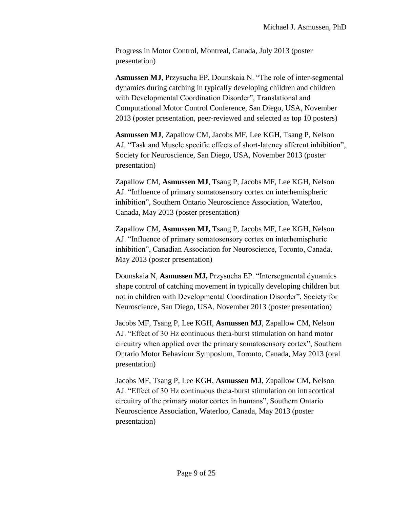Progress in Motor Control, Montreal, Canada, July 2013 (poster presentation)

**Asmussen MJ**, Przysucha EP, Dounskaia N. "The role of inter-segmental dynamics during catching in typically developing children and children with Developmental Coordination Disorder", Translational and Computational Motor Control Conference, San Diego, USA, November 2013 (poster presentation, peer-reviewed and selected as top 10 posters)

**Asmussen MJ**, Zapallow CM, Jacobs MF, Lee KGH, Tsang P, Nelson AJ. "Task and Muscle specific effects of short-latency afferent inhibition", Society for Neuroscience, San Diego, USA, November 2013 (poster presentation)

Zapallow CM, **Asmussen MJ**, Tsang P, Jacobs MF, Lee KGH, Nelson AJ. "Influence of primary somatosensory cortex on interhemispheric inhibition", Southern Ontario Neuroscience Association, Waterloo, Canada, May 2013 (poster presentation)

Zapallow CM, **Asmussen MJ,** Tsang P, Jacobs MF, Lee KGH, Nelson AJ. "Influence of primary somatosensory cortex on interhemispheric inhibition", Canadian Association for Neuroscience, Toronto, Canada, May 2013 (poster presentation)

Dounskaia N, **Asmussen MJ,** Przysucha EP. "Intersegmental dynamics shape control of catching movement in typically developing children but not in children with Developmental Coordination Disorder", Society for Neuroscience, San Diego, USA, November 2013 (poster presentation)

Jacobs MF, Tsang P, Lee KGH, **Asmussen MJ**, Zapallow CM, Nelson AJ. "Effect of 30 Hz continuous theta-burst stimulation on hand motor circuitry when applied over the primary somatosensory cortex", Southern Ontario Motor Behaviour Symposium, Toronto, Canada, May 2013 (oral presentation)

Jacobs MF, Tsang P, Lee KGH, **Asmussen MJ**, Zapallow CM, Nelson AJ. "Effect of 30 Hz continuous theta-burst stimulation on intracortical circuitry of the primary motor cortex in humans", Southern Ontario Neuroscience Association, Waterloo, Canada, May 2013 (poster presentation)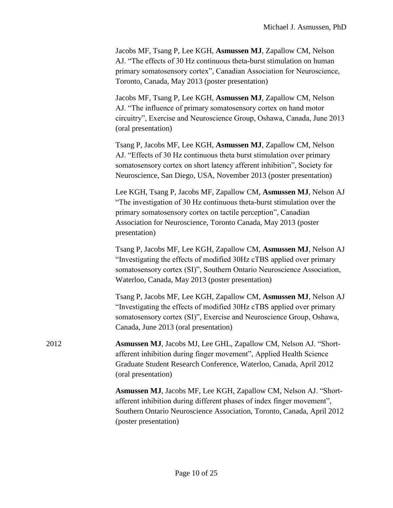| Jacobs MF, Tsang P, Lee KGH, Asmussen MJ, Zapallow CM, Nelson         |
|-----------------------------------------------------------------------|
| AJ. "The effects of 30 Hz continuous theta-burst stimulation on human |
| primary somatosensory cortex", Canadian Association for Neuroscience, |
| Toronto, Canada, May 2013 (poster presentation)                       |

Jacobs MF, Tsang P, Lee KGH, **Asmussen MJ**, Zapallow CM, Nelson AJ. "The influence of primary somatosensory cortex on hand motor circuitry", Exercise and Neuroscience Group, Oshawa, Canada, June 2013 (oral presentation)

Tsang P, Jacobs MF, Lee KGH, **Asmussen MJ**, Zapallow CM, Nelson AJ. "Effects of 30 Hz continuous theta burst stimulation over primary somatosensory cortex on short latency afferent inhibition", Society for Neuroscience, San Diego, USA, November 2013 (poster presentation)

Lee KGH, Tsang P, Jacobs MF, Zapallow CM, **Asmussen MJ**, Nelson AJ "The investigation of 30 Hz continuous theta-burst stimulation over the primary somatosensory cortex on tactile perception", Canadian Association for Neuroscience, Toronto Canada, May 2013 (poster presentation)

Tsang P, Jacobs MF, Lee KGH, Zapallow CM, **Asmussen MJ**, Nelson AJ "Investigating the effects of modified 30Hz cTBS applied over primary somatosensory cortex (SI)", Southern Ontario Neuroscience Association, Waterloo, Canada, May 2013 (poster presentation)

Tsang P, Jacobs MF, Lee KGH, Zapallow CM, **Asmussen MJ**, Nelson AJ "Investigating the effects of modified 30Hz cTBS applied over primary somatosensory cortex (SI)", Exercise and Neuroscience Group, Oshawa, Canada, June 2013 (oral presentation)

2012 **Asmussen MJ**, Jacobs MJ, Lee GHL, Zapallow CM, Nelson AJ. "Shortafferent inhibition during finger movement", Applied Health Science Graduate Student Research Conference, Waterloo, Canada, April 2012 (oral presentation)

> **Asmussen MJ**, Jacobs MF, Lee KGH, Zapallow CM, Nelson AJ. "Shortafferent inhibition during different phases of index finger movement", Southern Ontario Neuroscience Association, Toronto, Canada, April 2012 (poster presentation)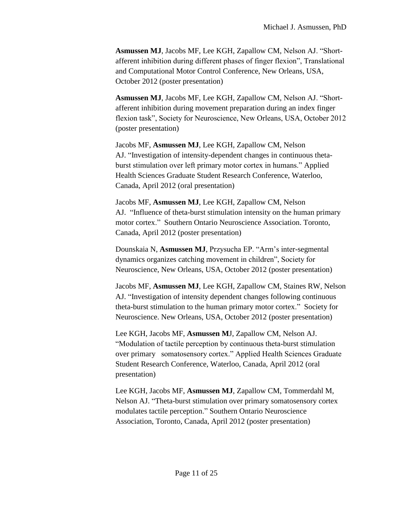**Asmussen MJ**, Jacobs MF, Lee KGH, Zapallow CM, Nelson AJ. "Shortafferent inhibition during different phases of finger flexion", Translational and Computational Motor Control Conference, New Orleans, USA, October 2012 (poster presentation)

**Asmussen MJ**, Jacobs MF, Lee KGH, Zapallow CM, Nelson AJ. "Shortafferent inhibition during movement preparation during an index finger flexion task", Society for Neuroscience, New Orleans, USA, October 2012 (poster presentation)

Jacobs MF, **Asmussen MJ**, Lee KGH, Zapallow CM, Nelson AJ. "Investigation of intensity-dependent changes in continuous thetaburst stimulation over left primary motor cortex in humans." Applied Health Sciences Graduate Student Research Conference, Waterloo, Canada, April 2012 (oral presentation)

Jacobs MF, **Asmussen MJ**, Lee KGH, Zapallow CM, Nelson AJ. "Influence of theta-burst stimulation intensity on the human primary motor cortex." Southern Ontario Neuroscience Association. Toronto, Canada, April 2012 (poster presentation)

Dounskaia N, **Asmussen MJ**, Przysucha EP. "Arm's inter-segmental dynamics organizes catching movement in children", Society for Neuroscience, New Orleans, USA, October 2012 (poster presentation)

Jacobs MF, **Asmussen MJ**, Lee KGH, Zapallow CM, Staines RW, Nelson AJ. "Investigation of intensity dependent changes following continuous theta-burst stimulation to the human primary motor cortex." Society for Neuroscience. New Orleans, USA, October 2012 (poster presentation)

Lee KGH, Jacobs MF, **Asmussen M**J, Zapallow CM, Nelson AJ. "Modulation of tactile perception by continuous theta-burst stimulation over primary somatosensory cortex." Applied Health Sciences Graduate Student Research Conference, Waterloo, Canada, April 2012 (oral presentation)

Lee KGH, Jacobs MF, **Asmussen MJ**, Zapallow CM, Tommerdahl M, Nelson AJ. "Theta-burst stimulation over primary somatosensory cortex modulates tactile perception." Southern Ontario Neuroscience Association, Toronto, Canada, April 2012 (poster presentation)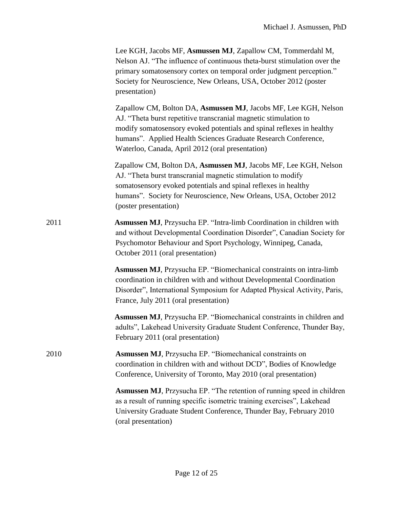|      | Lee KGH, Jacobs MF, Asmussen MJ, Zapallow CM, Tommerdahl M,<br>Nelson AJ. "The influence of continuous theta-burst stimulation over the<br>primary somatosensory cortex on temporal order judgment perception."<br>Society for Neuroscience, New Orleans, USA, October 2012 (poster<br>presentation)                               |
|------|------------------------------------------------------------------------------------------------------------------------------------------------------------------------------------------------------------------------------------------------------------------------------------------------------------------------------------|
|      | Zapallow CM, Bolton DA, Asmussen MJ, Jacobs MF, Lee KGH, Nelson<br>AJ. "Theta burst repetitive transcranial magnetic stimulation to<br>modify somatosensory evoked potentials and spinal reflexes in healthy<br>humans". Applied Health Sciences Graduate Research Conference,<br>Waterloo, Canada, April 2012 (oral presentation) |
|      | Zapallow CM, Bolton DA, Asmussen MJ, Jacobs MF, Lee KGH, Nelson<br>AJ. "Theta burst transcranial magnetic stimulation to modify<br>somatosensory evoked potentials and spinal reflexes in healthy<br>humans". Society for Neuroscience, New Orleans, USA, October 2012<br>(poster presentation)                                    |
| 2011 | Asmussen MJ, Przysucha EP. "Intra-limb Coordination in children with<br>and without Developmental Coordination Disorder", Canadian Society for<br>Psychomotor Behaviour and Sport Psychology, Winnipeg, Canada,<br>October 2011 (oral presentation)                                                                                |
|      | <b>Asmussen MJ</b> , Przysucha EP. "Biomechanical constraints on intra-limb<br>coordination in children with and without Developmental Coordination<br>Disorder", International Symposium for Adapted Physical Activity, Paris,<br>France, July 2011 (oral presentation)                                                           |
|      | <b>Asmussen MJ</b> , Przysucha EP. "Biomechanical constraints in children and<br>adults", Lakehead University Graduate Student Conference, Thunder Bay,<br>February 2011 (oral presentation)                                                                                                                                       |
| 2010 | <b>Asmussen MJ</b> , Przysucha EP. "Biomechanical constraints on<br>coordination in children with and without DCD", Bodies of Knowledge<br>Conference, University of Toronto, May 2010 (oral presentation)                                                                                                                         |
|      | <b>Asmussen MJ</b> , Przysucha EP. "The retention of running speed in children<br>as a result of running specific isometric training exercises", Lakehead<br>University Graduate Student Conference, Thunder Bay, February 2010<br>(oral presentation)                                                                             |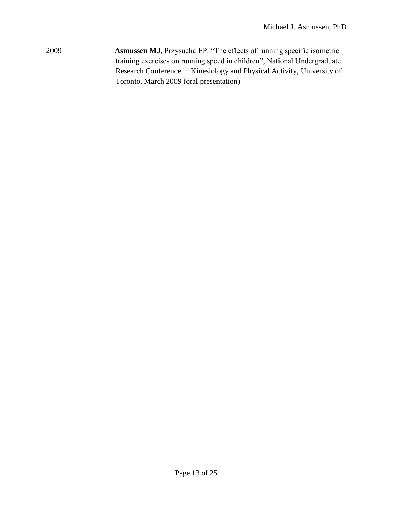2009 **Asmussen MJ**, Przysucha EP. "The effects of running specific isometric training exercises on running speed in children", National Undergraduate Research Conference in Kinesiology and Physical Activity, University of Toronto, March 2009 (oral presentation)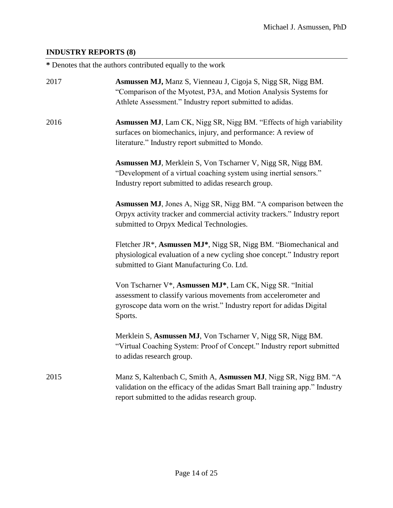## <span id="page-13-0"></span>**INDUSTRY REPORTS (8)**

**\*** Denotes that the authors contributed equally to the work

| 2017 | <b>Asmussen MJ, Manz S, Vienneau J, Cigoja S, Nigg SR, Nigg BM.</b><br>"Comparison of the Myotest, P3A, and Motion Analysis Systems for<br>Athlete Assessment." Industry report submitted to adidas.             |
|------|------------------------------------------------------------------------------------------------------------------------------------------------------------------------------------------------------------------|
| 2016 | <b>Asmussen MJ</b> , Lam CK, Nigg SR, Nigg BM. "Effects of high variability<br>surfaces on biomechanics, injury, and performance: A review of<br>literature." Industry report submitted to Mondo.                |
|      | Asmussen MJ, Merklein S, Von Tscharner V, Nigg SR, Nigg BM.<br>"Development of a virtual coaching system using inertial sensors."<br>Industry report submitted to adidas research group.                         |
|      | <b>Asmussen MJ</b> , Jones A, Nigg SR, Nigg BM. "A comparison between the<br>Orpyx activity tracker and commercial activity trackers." Industry report<br>submitted to Orpyx Medical Technologies.               |
|      | Fletcher JR*, Asmussen MJ*, Nigg SR, Nigg BM. "Biomechanical and<br>physiological evaluation of a new cycling shoe concept." Industry report<br>submitted to Giant Manufacturing Co. Ltd.                        |
|      | Von Tscharner V*, Asmussen MJ*, Lam CK, Nigg SR. "Initial<br>assessment to classify various movements from accelerometer and<br>gyroscope data worn on the wrist." Industry report for adidas Digital<br>Sports. |
|      | Merklein S, Asmussen MJ, Von Tscharner V, Nigg SR, Nigg BM.<br>"Virtual Coaching System: Proof of Concept." Industry report submitted<br>to adidas research group.                                               |
| 2015 | Manz S, Kaltenbach C, Smith A, Asmussen MJ, Nigg SR, Nigg BM. "A<br>validation on the efficacy of the adidas Smart Ball training app." Industry<br>report submitted to the adidas research group.                |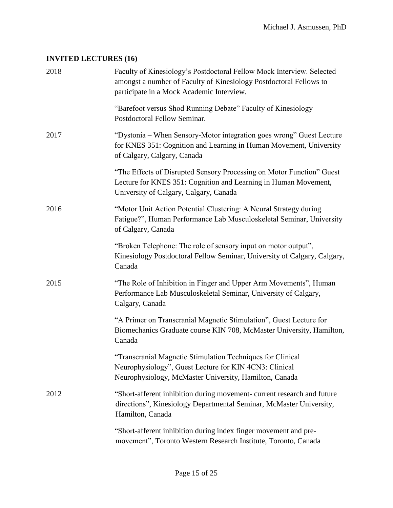# <span id="page-14-0"></span>**INVITED LECTURES (16)**

| 2018 | Faculty of Kinesiology's Postdoctoral Fellow Mock Interview. Selected<br>amongst a number of Faculty of Kinesiology Postdoctoral Fellows to<br>participate in a Mock Academic Interview. |
|------|------------------------------------------------------------------------------------------------------------------------------------------------------------------------------------------|
|      | "Barefoot versus Shod Running Debate" Faculty of Kinesiology<br>Postdoctoral Fellow Seminar.                                                                                             |
| 2017 | "Dystonia – When Sensory-Motor integration goes wrong" Guest Lecture<br>for KNES 351: Cognition and Learning in Human Movement, University<br>of Calgary, Calgary, Canada                |
|      | "The Effects of Disrupted Sensory Processing on Motor Function" Guest<br>Lecture for KNES 351: Cognition and Learning in Human Movement,<br>University of Calgary, Calgary, Canada       |
| 2016 | "Motor Unit Action Potential Clustering: A Neural Strategy during<br>Fatigue?", Human Performance Lab Musculoskeletal Seminar, University<br>of Calgary, Canada                          |
|      | "Broken Telephone: The role of sensory input on motor output",<br>Kinesiology Postdoctoral Fellow Seminar, University of Calgary, Calgary,<br>Canada                                     |
| 2015 | "The Role of Inhibition in Finger and Upper Arm Movements", Human<br>Performance Lab Musculoskeletal Seminar, University of Calgary,<br>Calgary, Canada                                  |
|      | "A Primer on Transcranial Magnetic Stimulation", Guest Lecture for<br>Biomechanics Graduate course KIN 708, McMaster University, Hamilton,<br>Canada                                     |
|      | "Transcranial Magnetic Stimulation Techniques for Clinical<br>Neurophysiology", Guest Lecture for KIN 4CN3: Clinical<br>Neurophysiology, McMaster University, Hamilton, Canada           |
| 2012 | "Short-afferent inhibition during movement- current research and future<br>directions", Kinesiology Departmental Seminar, McMaster University,<br>Hamilton, Canada                       |
|      | "Short-afferent inhibition during index finger movement and pre-<br>movement", Toronto Western Research Institute, Toronto, Canada                                                       |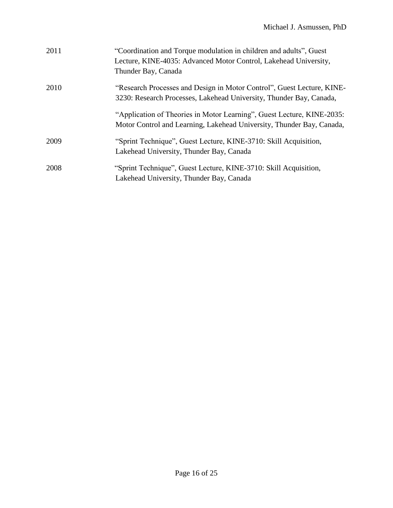| 2011 | "Coordination and Torque modulation in children and adults", Guest<br>Lecture, KINE-4035: Advanced Motor Control, Lakehead University,<br>Thunder Bay, Canada |
|------|---------------------------------------------------------------------------------------------------------------------------------------------------------------|
| 2010 | "Research Processes and Design in Motor Control", Guest Lecture, KINE-<br>3230: Research Processes, Lakehead University, Thunder Bay, Canada,                 |
|      | "Application of Theories in Motor Learning", Guest Lecture, KINE-2035:<br>Motor Control and Learning, Lakehead University, Thunder Bay, Canada,               |
| 2009 | "Sprint Technique", Guest Lecture, KINE-3710: Skill Acquisition,<br>Lakehead University, Thunder Bay, Canada                                                  |
| 2008 | "Sprint Technique", Guest Lecture, KINE-3710: Skill Acquisition,<br>Lakehead University, Thunder Bay, Canada                                                  |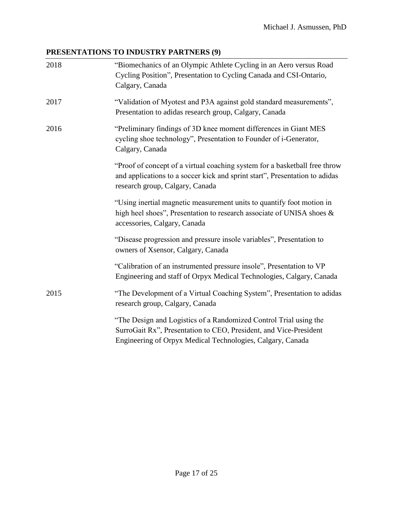## <span id="page-16-0"></span>**PRESENTATIONS TO INDUSTRY PARTNERS (9)**

| 2018 | "Biomechanics of an Olympic Athlete Cycling in an Aero versus Road<br>Cycling Position", Presentation to Cycling Canada and CSI-Ontario,<br>Calgary, Canada                                          |
|------|------------------------------------------------------------------------------------------------------------------------------------------------------------------------------------------------------|
| 2017 | "Validation of Myotest and P3A against gold standard measurements",<br>Presentation to adidas research group, Calgary, Canada                                                                        |
| 2016 | "Preliminary findings of 3D knee moment differences in Giant MES<br>cycling shoe technology", Presentation to Founder of i-Generator,<br>Calgary, Canada                                             |
|      | "Proof of concept of a virtual coaching system for a basketball free throw<br>and applications to a soccer kick and sprint start", Presentation to adidas<br>research group, Calgary, Canada         |
|      | "Using inertial magnetic measurement units to quantify foot motion in<br>high heel shoes", Presentation to research associate of UNISA shoes &<br>accessories, Calgary, Canada                       |
|      | "Disease progression and pressure insole variables", Presentation to<br>owners of Xsensor, Calgary, Canada                                                                                           |
|      | "Calibration of an instrumented pressure insole", Presentation to VP<br>Engineering and staff of Orpyx Medical Technologies, Calgary, Canada                                                         |
| 2015 | "The Development of a Virtual Coaching System", Presentation to adidas<br>research group, Calgary, Canada                                                                                            |
|      | "The Design and Logistics of a Randomized Control Trial using the<br>SurroGait Rx", Presentation to CEO, President, and Vice-President<br>Engineering of Orpyx Medical Technologies, Calgary, Canada |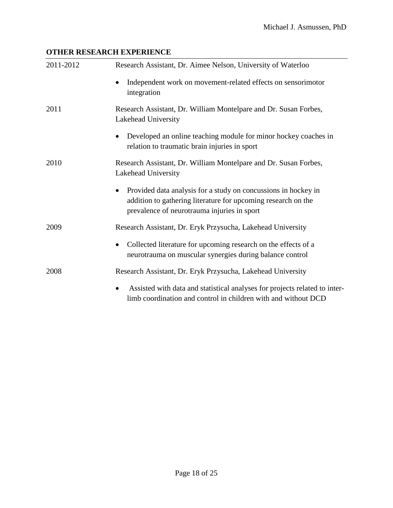## <span id="page-17-0"></span>**OTHER RESEARCH EXPERIENCE**

| 2011-2012 | Research Assistant, Dr. Aimee Nelson, University of Waterloo                                                                                                                   |
|-----------|--------------------------------------------------------------------------------------------------------------------------------------------------------------------------------|
|           | Independent work on movement-related effects on sensorimotor<br>integration                                                                                                    |
| 2011      | Research Assistant, Dr. William Montelpare and Dr. Susan Forbes,<br>Lakehead University                                                                                        |
|           | Developed an online teaching module for minor hockey coaches in<br>relation to traumatic brain injuries in sport                                                               |
| 2010      | Research Assistant, Dr. William Montelpare and Dr. Susan Forbes,<br>Lakehead University                                                                                        |
|           | Provided data analysis for a study on concussions in hockey in<br>addition to gathering literature for upcoming research on the<br>prevalence of neurotrauma injuries in sport |
| 2009      | Research Assistant, Dr. Eryk Przysucha, Lakehead University                                                                                                                    |
|           | Collected literature for upcoming research on the effects of a<br>neurotrauma on muscular synergies during balance control                                                     |
| 2008      | Research Assistant, Dr. Eryk Przysucha, Lakehead University                                                                                                                    |
|           | Assisted with data and statistical analyses for projects related to inter-<br>$\bullet$<br>limb coordination and control in children with and without DCD                      |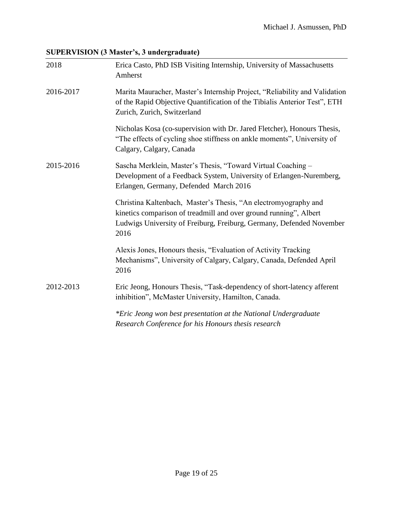## <span id="page-18-0"></span>**SUPERVISION (3 Master's, 3 undergraduate)**

| 2018      | Erica Casto, PhD ISB Visiting Internship, University of Massachusetts<br>Amherst                                                                                                                                     |
|-----------|----------------------------------------------------------------------------------------------------------------------------------------------------------------------------------------------------------------------|
| 2016-2017 | Marita Mauracher, Master's Internship Project, "Reliability and Validation<br>of the Rapid Objective Quantification of the Tibialis Anterior Test", ETH<br>Zurich, Zurich, Switzerland                               |
|           | Nicholas Kosa (co-supervision with Dr. Jared Fletcher), Honours Thesis,<br>"The effects of cycling shoe stiffness on ankle moments", University of<br>Calgary, Calgary, Canada                                       |
| 2015-2016 | Sascha Merklein, Master's Thesis, "Toward Virtual Coaching -<br>Development of a Feedback System, University of Erlangen-Nuremberg,<br>Erlangen, Germany, Defended March 2016                                        |
|           | Christina Kaltenbach, Master's Thesis, "An electromyography and<br>kinetics comparison of treadmill and over ground running", Albert<br>Ludwigs University of Freiburg, Freiburg, Germany, Defended November<br>2016 |
|           | Alexis Jones, Honours thesis, "Evaluation of Activity Tracking<br>Mechanisms", University of Calgary, Calgary, Canada, Defended April<br>2016                                                                        |
| 2012-2013 | Eric Jeong, Honours Thesis, "Task-dependency of short-latency afferent<br>inhibition", McMaster University, Hamilton, Canada.                                                                                        |
|           | *Eric Jeong won best presentation at the National Undergraduate<br>Research Conference for his Honours thesis research                                                                                               |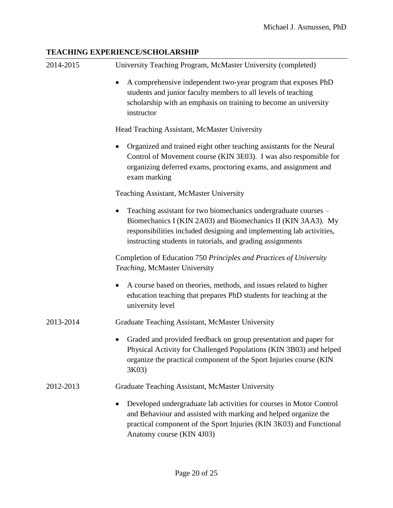#### <span id="page-19-0"></span>**TEACHING EXPERIENCE/SCHOLARSHIP**

| 2014-2015 | University Teaching Program, McMaster University (completed)                                                                                                                                                                                                          |
|-----------|-----------------------------------------------------------------------------------------------------------------------------------------------------------------------------------------------------------------------------------------------------------------------|
|           | A comprehensive independent two-year program that exposes PhD<br>students and junior faculty members to all levels of teaching<br>scholarship with an emphasis on training to become an university<br>instructor                                                      |
|           | Head Teaching Assistant, McMaster University                                                                                                                                                                                                                          |
|           | Organized and trained eight other teaching assistants for the Neural<br>Control of Movement course (KIN 3E03). I was also responsible for<br>organizing deferred exams, proctoring exams, and assignment and<br>exam marking                                          |
|           | Teaching Assistant, McMaster University                                                                                                                                                                                                                               |
|           | Teaching assistant for two biomechanics undergraduate courses –<br>Biomechanics I (KIN 2A03) and Biomechanics II (KIN 3AA3). My<br>responsibilities included designing and implementing lab activities,<br>instructing students in tutorials, and grading assignments |
|           | Completion of Education 750 Principles and Practices of University<br>Teaching, McMaster University                                                                                                                                                                   |
|           | A course based on theories, methods, and issues related to higher<br>education teaching that prepares PhD students for teaching at the<br>university level                                                                                                            |
| 2013-2014 | Graduate Teaching Assistant, McMaster University                                                                                                                                                                                                                      |
|           | Graded and provided feedback on group presentation and paper for<br>Physical Activity for Challenged Populations (KIN 3B03) and helped<br>organize the practical component of the Sport Injuries course (KIN<br>3K03)                                                 |
| 2012-2013 | Graduate Teaching Assistant, McMaster University                                                                                                                                                                                                                      |
|           | Developed undergraduate lab activities for courses in Motor Control<br>and Behaviour and assisted with marking and helped organize the<br>practical component of the Sport Injuries (KIN 3K03) and Functional<br>Anatomy course (KIN 4J03)                            |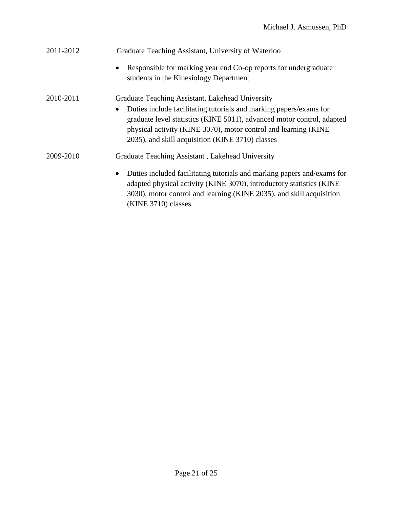| 2011-2012 | Graduate Teaching Assistant, University of Waterloo                                                                                                                                                                                                                              |
|-----------|----------------------------------------------------------------------------------------------------------------------------------------------------------------------------------------------------------------------------------------------------------------------------------|
|           | Responsible for marking year end Co-op reports for undergraduate<br>$\bullet$<br>students in the Kinesiology Department                                                                                                                                                          |
| 2010-2011 | Graduate Teaching Assistant, Lakehead University                                                                                                                                                                                                                                 |
|           | Duties include facilitating tutorials and marking papers/exams for<br>$\bullet$<br>graduate level statistics (KINE 5011), advanced motor control, adapted<br>physical activity (KINE 3070), motor control and learning (KINE<br>2035), and skill acquisition (KINE 3710) classes |
| 2009-2010 | Graduate Teaching Assistant, Lakehead University                                                                                                                                                                                                                                 |
|           | Duties included facilitating tutorials and marking papers and/exams for<br>$\bullet$<br>adapted physical activity (KINE 3070), introductory statistics (KINE<br>3030), motor control and learning (KINE 2035), and skill acquisition<br>(KINE 3710) classes                      |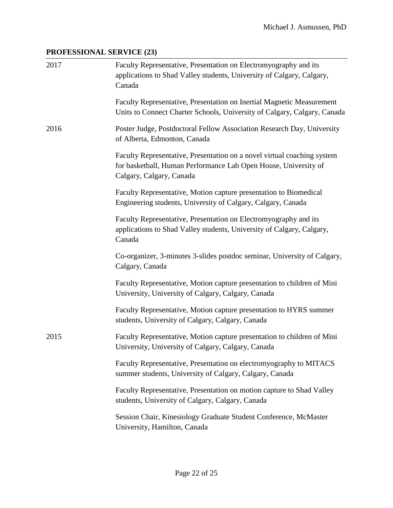## <span id="page-21-0"></span>**PROFESSIONAL SERVICE (23)**

| 2017 | Faculty Representative, Presentation on Electromyography and its<br>applications to Shad Valley students, University of Calgary, Calgary,<br>Canada                    |
|------|------------------------------------------------------------------------------------------------------------------------------------------------------------------------|
|      | Faculty Representative, Presentation on Inertial Magnetic Measurement<br>Units to Connect Charter Schools, University of Calgary, Calgary, Canada                      |
| 2016 | Poster Judge, Postdoctoral Fellow Association Research Day, University<br>of Alberta, Edmonton, Canada                                                                 |
|      | Faculty Representative, Presentation on a novel virtual coaching system<br>for basketball, Human Performance Lab Open House, University of<br>Calgary, Calgary, Canada |
|      | Faculty Representative, Motion capture presentation to Biomedical<br>Engineering students, University of Calgary, Calgary, Canada                                      |
|      | Faculty Representative, Presentation on Electromyography and its<br>applications to Shad Valley students, University of Calgary, Calgary,<br>Canada                    |
|      | Co-organizer, 3-minutes 3-slides postdoc seminar, University of Calgary,<br>Calgary, Canada                                                                            |
|      | Faculty Representative, Motion capture presentation to children of Mini<br>University, University of Calgary, Calgary, Canada                                          |
|      | Faculty Representative, Motion capture presentation to HYRS summer<br>students, University of Calgary, Calgary, Canada                                                 |
| 2015 | Faculty Representative, Motion capture presentation to children of Mini<br>University, University of Calgary, Calgary, Canada                                          |
|      | Faculty Representative, Presentation on electromyography to MITACS<br>summer students, University of Calgary, Calgary, Canada                                          |
|      | Faculty Representative, Presentation on motion capture to Shad Valley<br>students, University of Calgary, Calgary, Canada                                              |
|      | Session Chair, Kinesiology Graduate Student Conference, McMaster<br>University, Hamilton, Canada                                                                       |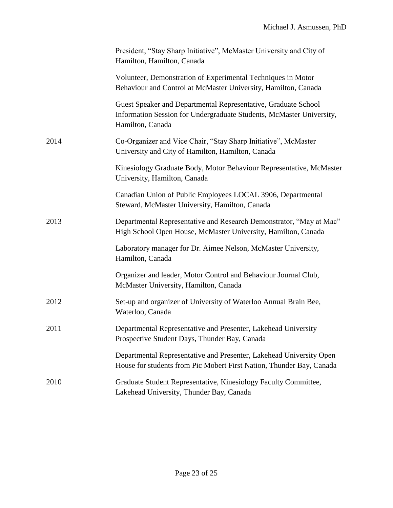|      | President, "Stay Sharp Initiative", McMaster University and City of<br>Hamilton, Hamilton, Canada                                                          |
|------|------------------------------------------------------------------------------------------------------------------------------------------------------------|
|      | Volunteer, Demonstration of Experimental Techniques in Motor<br>Behaviour and Control at McMaster University, Hamilton, Canada                             |
|      | Guest Speaker and Departmental Representative, Graduate School<br>Information Session for Undergraduate Students, McMaster University,<br>Hamilton, Canada |
| 2014 | Co-Organizer and Vice Chair, "Stay Sharp Initiative", McMaster<br>University and City of Hamilton, Hamilton, Canada                                        |
|      | Kinesiology Graduate Body, Motor Behaviour Representative, McMaster<br>University, Hamilton, Canada                                                        |
|      | Canadian Union of Public Employees LOCAL 3906, Departmental<br>Steward, McMaster University, Hamilton, Canada                                              |
| 2013 | Departmental Representative and Research Demonstrator, "May at Mac"<br>High School Open House, McMaster University, Hamilton, Canada                       |
|      | Laboratory manager for Dr. Aimee Nelson, McMaster University,<br>Hamilton, Canada                                                                          |
|      | Organizer and leader, Motor Control and Behaviour Journal Club,<br>McMaster University, Hamilton, Canada                                                   |
| 2012 | Set-up and organizer of University of Waterloo Annual Brain Bee,<br>Waterloo, Canada                                                                       |
| 2011 | Departmental Representative and Presenter, Lakehead University<br>Prospective Student Days, Thunder Bay, Canada                                            |
|      | Departmental Representative and Presenter, Lakehead University Open<br>House for students from Pic Mobert First Nation, Thunder Bay, Canada                |
| 2010 | Graduate Student Representative, Kinesiology Faculty Committee,<br>Lakehead University, Thunder Bay, Canada                                                |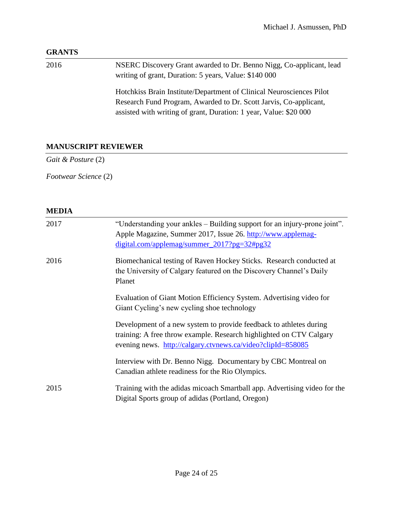#### <span id="page-23-0"></span>**GRANTS**

2016 NSERC Discovery Grant awarded to Dr. Benno Nigg, Co-applicant, lead writing of grant, Duration: 5 years, Value: \$140 000 Hotchkiss Brain Institute/Department of Clinical Neurosciences Pilot Research Fund Program, Awarded to Dr. Scott Jarvis, Co-applicant, assisted with writing of grant, Duration: 1 year, Value: \$20 000

### <span id="page-23-1"></span>**MANUSCRIPT REVIEWER**

*Gait & Posture* (2)

*Footwear Science* (2)

#### <span id="page-23-2"></span>**MEDIA**

| 2017 | "Understanding your ankles – Building support for an injury-prone joint".<br>Apple Magazine, Summer 2017, Issue 26. http://www.applemag-<br>digital.com/applemag/summer_2017?pg=32#pg32                  |
|------|----------------------------------------------------------------------------------------------------------------------------------------------------------------------------------------------------------|
| 2016 | Biomechanical testing of Raven Hockey Sticks. Research conducted at<br>the University of Calgary featured on the Discovery Channel's Daily<br>Planet                                                     |
|      | Evaluation of Giant Motion Efficiency System. Advertising video for<br>Giant Cycling's new cycling shoe technology                                                                                       |
|      | Development of a new system to provide feedback to athletes during<br>training: A free throw example. Research highlighted on CTV Calgary<br>evening news. http://calgary.ctvnews.ca/video?clipId=858085 |
|      | Interview with Dr. Benno Nigg. Documentary by CBC Montreal on<br>Canadian athlete readiness for the Rio Olympics.                                                                                        |
| 2015 | Training with the adidas micoach Smartball app. Advertising video for the<br>Digital Sports group of adidas (Portland, Oregon)                                                                           |